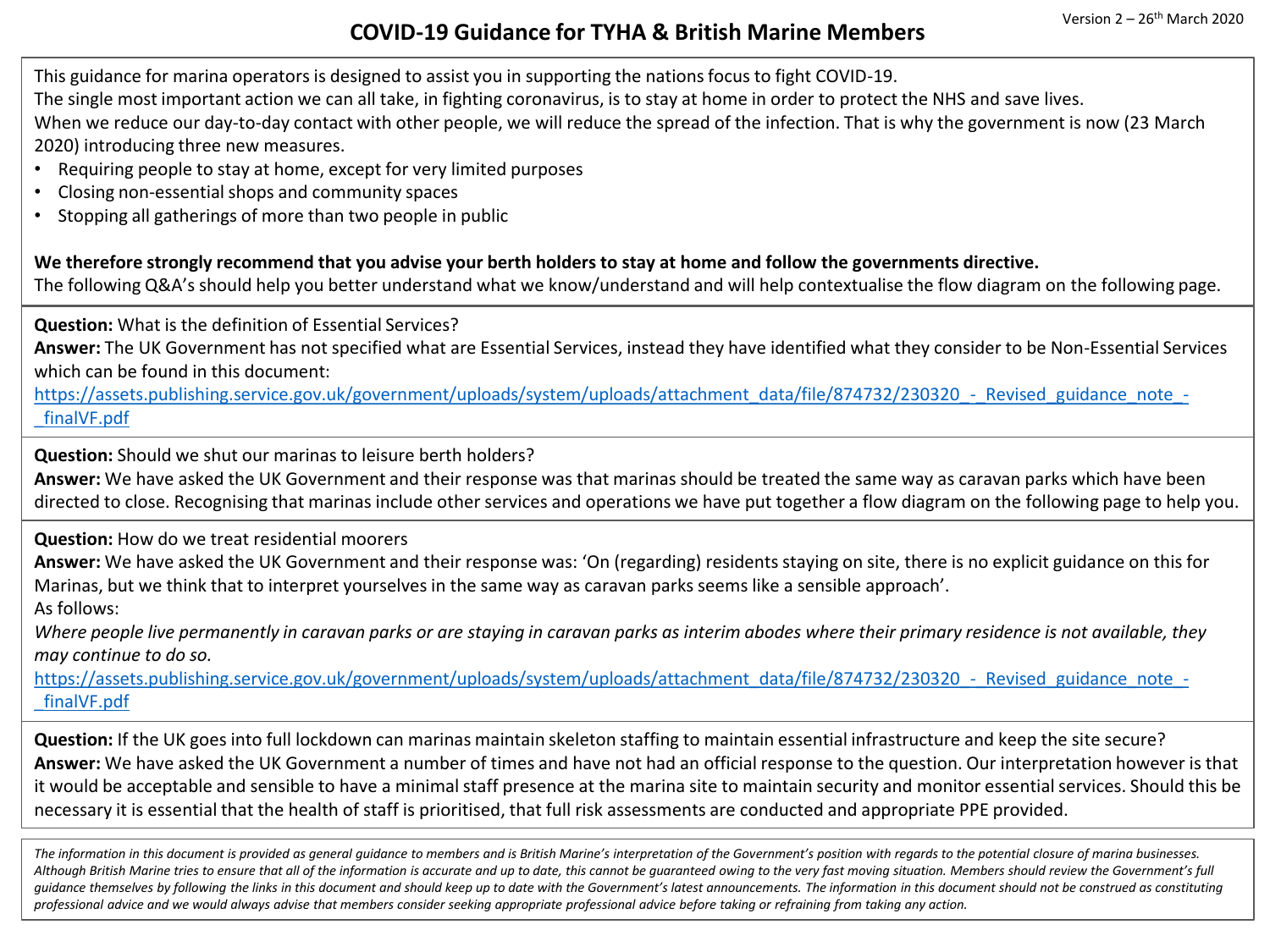## **COVID-19 Guidance for TYHA & British Marine Members** Version 2 – <sup>26</sup>th March 2020

This guidance for marina operators is designed to assist you in supporting the nations focus to fight COVID-19.

The single most important action we can all take, in fighting coronavirus, is to stay at home in order to protect the NHS and save lives.

When we reduce our day-to-day contact with other people, we will reduce the spread of the infection. That is why the government is now (23 March 2020) introducing three new measures.

- Requiring people to stay at home, except for very limited purposes
- Closing non-essential shops and community spaces
- Stopping all gatherings of more than two people in public

**We therefore strongly recommend that you advise your berth holders to stay at home and follow the governments directive.**

The following Q&A's should help you better understand what we know/understand and will help contextualise the flow diagram on the following page.

**Question:** What is the definition of Essential Services?

**Answer:** The UK Government has not specified what are Essential Services, instead they have identified what they consider to be Non-Essential Services which can be found in this document:

[https://assets.publishing.service.gov.uk/government/uploads/system/uploads/attachment\\_data/file/874732/230320\\_-\\_Revised\\_guidance\\_note\\_-](https://assets.publishing.service.gov.uk/government/uploads/system/uploads/attachment_data/file/874732/230320_-_Revised_guidance_note_-_finalVF.pdf) \_finalVF.pdf

**Question:** Should we shut our marinas to leisure berth holders?

**Answer:** We have asked the UK Government and their response was that marinas should be treated the same way as caravan parks which have been directed to close. Recognising that marinas include other services and operations we have put together a flow diagram on the following page to help you.

**Question:** How do we treat residential moorers

**Answer:** We have asked the UK Government and their response was: 'On (regarding) residents staying on site, there is no explicit guidance on this for Marinas, but we think that to interpret yourselves in the same way as caravan parks seems like a sensible approach'.

As follows:

*Where people live permanently in caravan parks or are staying in caravan parks as interim abodes where their primary residence is not available, they may continue to do so.*

https://assets.publishing.service.gov.uk/government/uploads/system/uploads/attachment\_data/file/874732/230320 - Revised\_guidance\_note\_-\_finalVF.pdf

**Question:** If the UK goes into full lockdown can marinas maintain skeleton staffing to maintain essential infrastructure and keep the site secure? **Answer:** We have asked the UK Government a number of times and have not had an official response to the question. Our interpretation however is that it would be acceptable and sensible to have a minimal staff presence at the marina site to maintain security and monitor essential services. Should this be necessary it is essential that the health of staff is prioritised, that full risk assessments are conducted and appropriate PPE provided.

The information in this document is provided as general quidance to members and is British Marine's interpretation of the Government's position with regards to the potential closure of marina businesses. *Although British Marine tries to ensure that all of the information is accurate and up to date, this cannot be guaranteed owing to the very fast moving situation. Members should review the Government's full guidance themselves by following the links in this document and should keep up to date with the Government's latest announcements. The information in this document should not be construed as constituting professional advice and we would always advise that members consider seeking appropriate professional advice before taking or refraining from taking any action.*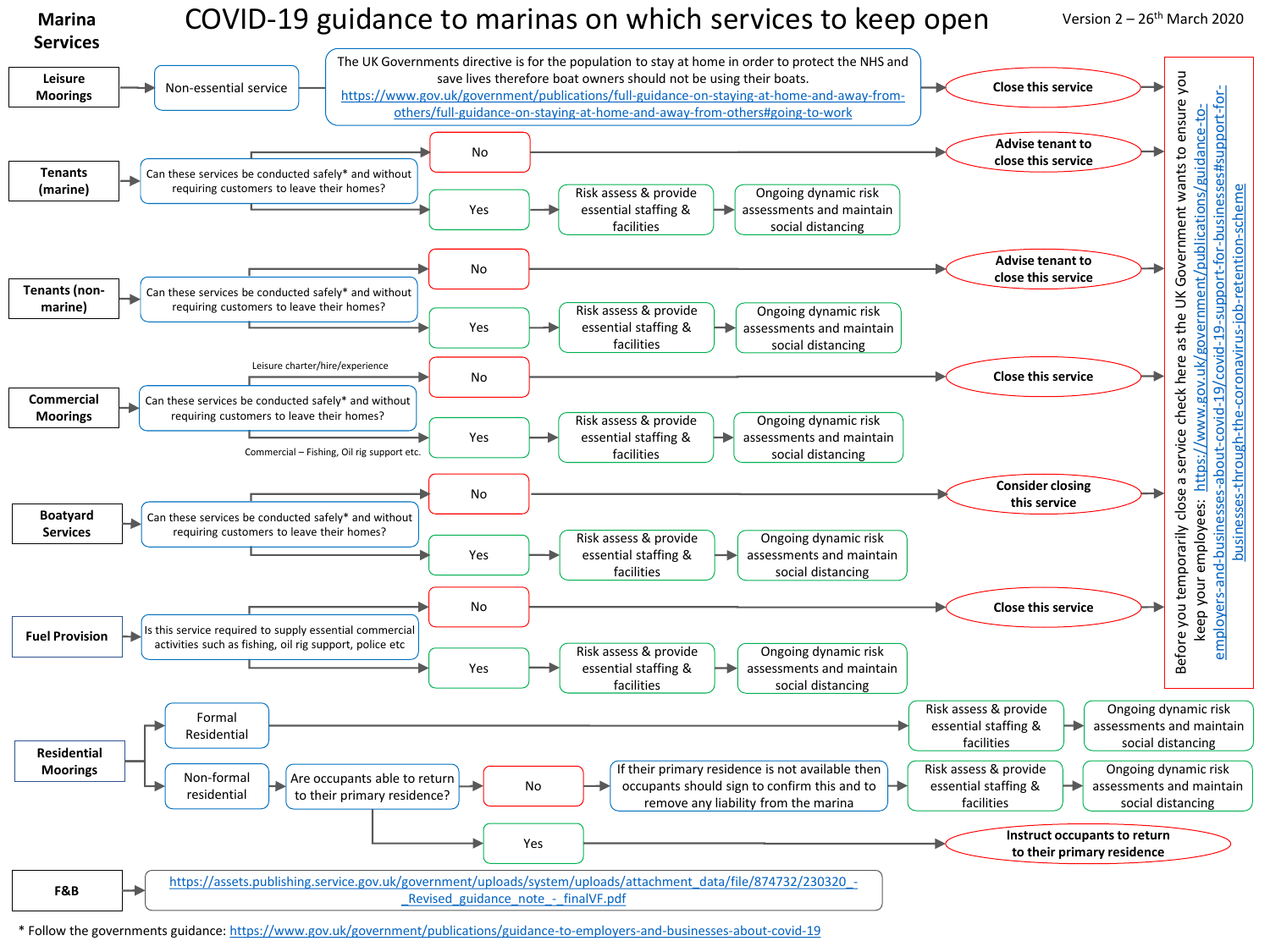

\* Follow the governments guidance:<https://www.gov.uk/government/publications/guidance-to-employers-and-businesses-about-covid-19>